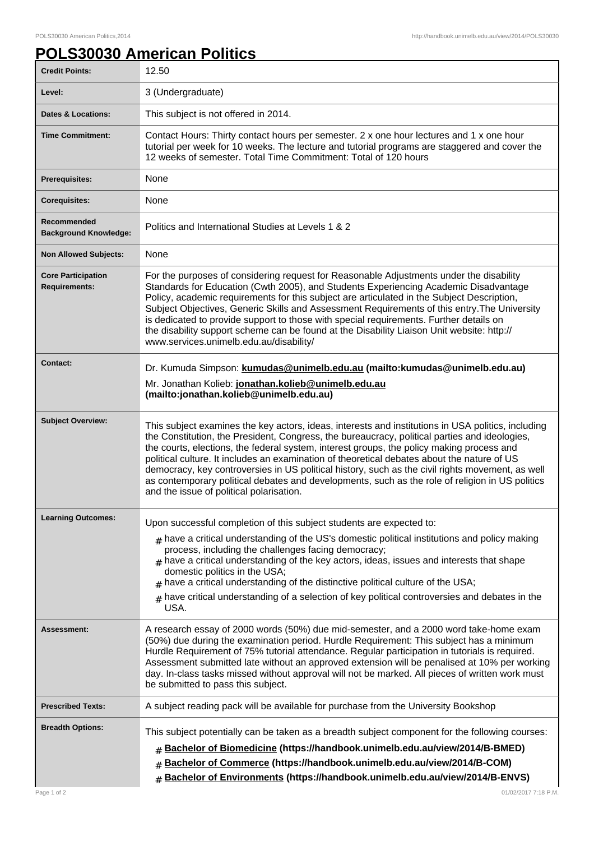## **POLS30030 American Politics**

| <b>Credit Points:</b>                             | 12.50                                                                                                                                                                                                                                                                                                                                                                                                                                                                                                                                                                                                                                              |
|---------------------------------------------------|----------------------------------------------------------------------------------------------------------------------------------------------------------------------------------------------------------------------------------------------------------------------------------------------------------------------------------------------------------------------------------------------------------------------------------------------------------------------------------------------------------------------------------------------------------------------------------------------------------------------------------------------------|
| Level:                                            | 3 (Undergraduate)                                                                                                                                                                                                                                                                                                                                                                                                                                                                                                                                                                                                                                  |
| <b>Dates &amp; Locations:</b>                     | This subject is not offered in 2014.                                                                                                                                                                                                                                                                                                                                                                                                                                                                                                                                                                                                               |
| <b>Time Commitment:</b>                           | Contact Hours: Thirty contact hours per semester. 2 x one hour lectures and 1 x one hour<br>tutorial per week for 10 weeks. The lecture and tutorial programs are staggered and cover the<br>12 weeks of semester. Total Time Commitment: Total of 120 hours                                                                                                                                                                                                                                                                                                                                                                                       |
| <b>Prerequisites:</b>                             | None                                                                                                                                                                                                                                                                                                                                                                                                                                                                                                                                                                                                                                               |
| <b>Corequisites:</b>                              | None                                                                                                                                                                                                                                                                                                                                                                                                                                                                                                                                                                                                                                               |
| Recommended<br><b>Background Knowledge:</b>       | Politics and International Studies at Levels 1 & 2                                                                                                                                                                                                                                                                                                                                                                                                                                                                                                                                                                                                 |
| <b>Non Allowed Subjects:</b>                      | None                                                                                                                                                                                                                                                                                                                                                                                                                                                                                                                                                                                                                                               |
| <b>Core Participation</b><br><b>Requirements:</b> | For the purposes of considering request for Reasonable Adjustments under the disability<br>Standards for Education (Cwth 2005), and Students Experiencing Academic Disadvantage<br>Policy, academic requirements for this subject are articulated in the Subject Description,<br>Subject Objectives, Generic Skills and Assessment Requirements of this entry. The University<br>is dedicated to provide support to those with special requirements. Further details on<br>the disability support scheme can be found at the Disability Liaison Unit website: http://<br>www.services.unimelb.edu.au/disability/                                   |
| Contact:                                          | Dr. Kumuda Simpson: kumudas@unimelb.edu.au (mailto:kumudas@unimelb.edu.au)                                                                                                                                                                                                                                                                                                                                                                                                                                                                                                                                                                         |
|                                                   | Mr. Jonathan Kolieb: jonathan.kolieb@unimelb.edu.au<br>(mailto:jonathan.kolieb@unimelb.edu.au)                                                                                                                                                                                                                                                                                                                                                                                                                                                                                                                                                     |
| <b>Subject Overview:</b>                          | This subject examines the key actors, ideas, interests and institutions in USA politics, including<br>the Constitution, the President, Congress, the bureaucracy, political parties and ideologies,<br>the courts, elections, the federal system, interest groups, the policy making process and<br>political culture. It includes an examination of theoretical debates about the nature of US<br>democracy, key controversies in US political history, such as the civil rights movement, as well<br>as contemporary political debates and developments, such as the role of religion in US politics<br>and the issue of political polarisation. |
| <b>Learning Outcomes:</b>                         | Upon successful completion of this subject students are expected to:<br>$_{\text{\#}}$ have a critical understanding of the US's domestic political institutions and policy making<br>process, including the challenges facing democracy;<br>$*$ have a critical understanding of the key actors, ideas, issues and interests that shape<br>domestic politics in the USA;<br>$*$ have a critical understanding of the distinctive political culture of the USA;<br>have critical understanding of a selection of key political controversies and debates in the<br>USA.                                                                            |
| <b>Assessment:</b>                                | A research essay of 2000 words (50%) due mid-semester, and a 2000 word take-home exam<br>(50%) due during the examination period. Hurdle Requirement: This subject has a minimum<br>Hurdle Requirement of 75% tutorial attendance. Regular participation in tutorials is required.<br>Assessment submitted late without an approved extension will be penalised at 10% per working<br>day. In-class tasks missed without approval will not be marked. All pieces of written work must<br>be submitted to pass this subject.                                                                                                                        |
| <b>Prescribed Texts:</b>                          | A subject reading pack will be available for purchase from the University Bookshop                                                                                                                                                                                                                                                                                                                                                                                                                                                                                                                                                                 |
| <b>Breadth Options:</b>                           | This subject potentially can be taken as a breadth subject component for the following courses:<br>Bachelor of Biomedicine (https://handbook.unimelb.edu.au/view/2014/B-BMED)<br>#<br>Bachelor of Commerce (https://handbook.unimelb.edu.au/view/2014/B-COM)<br>#<br>Bachelor of Environments (https://handbook.unimelb.edu.au/view/2014/B-ENVS)<br>#                                                                                                                                                                                                                                                                                              |